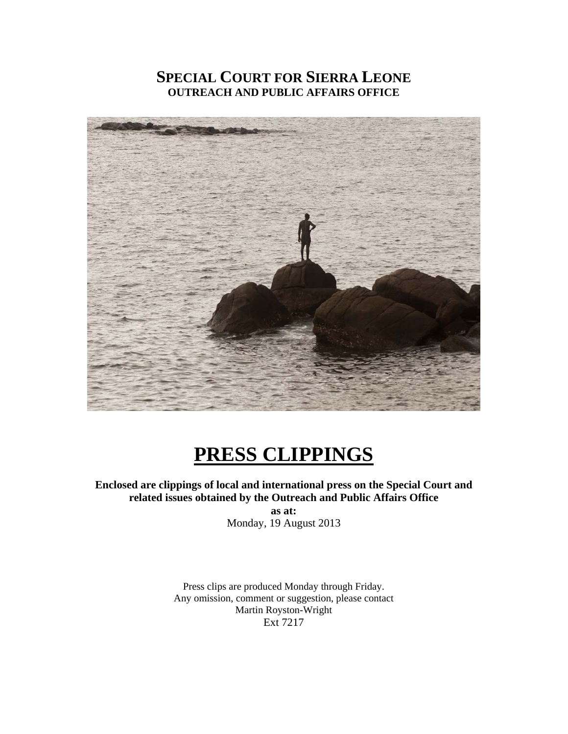# **SPECIAL COURT FOR SIERRA LEONE OUTREACH AND PUBLIC AFFAIRS OFFICE**



# **PRESS CLIPPINGS**

**Enclosed are clippings of local and international press on the Special Court and related issues obtained by the Outreach and Public Affairs Office** 

**as at:**  Monday, 19 August 2013

Press clips are produced Monday through Friday. Any omission, comment or suggestion, please contact Martin Royston-Wright Ext 7217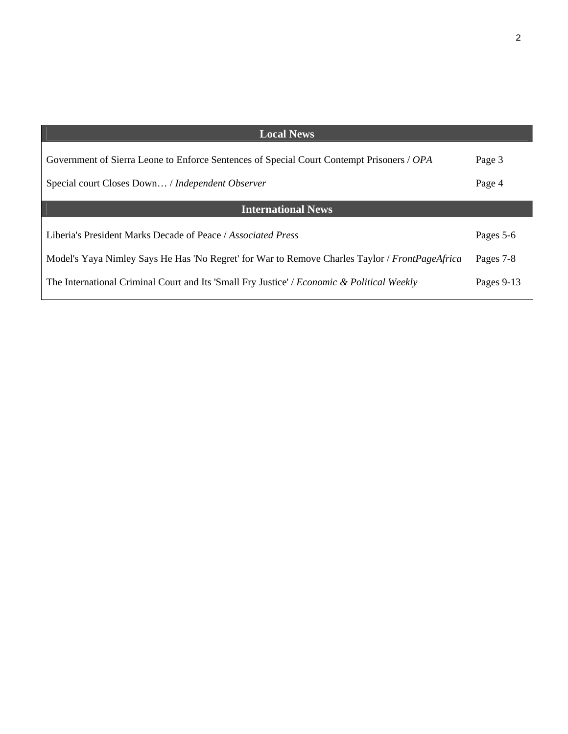| <b>Local News</b>                                                                              |            |
|------------------------------------------------------------------------------------------------|------------|
| Government of Sierra Leone to Enforce Sentences of Special Court Contempt Prisoners / OPA      | Page 3     |
| Special court Closes Down / Independent Observer                                               | Page 4     |
| <b>International News</b>                                                                      |            |
|                                                                                                |            |
| Liberia's President Marks Decade of Peace / Associated Press                                   | Pages 5-6  |
| Model's Yaya Nimley Says He Has 'No Regret' for War to Remove Charles Taylor / FrontPageAfrica | Pages 7-8  |
| The International Criminal Court and Its 'Small Fry Justice' / Economic & Political Weekly     | Pages 9-13 |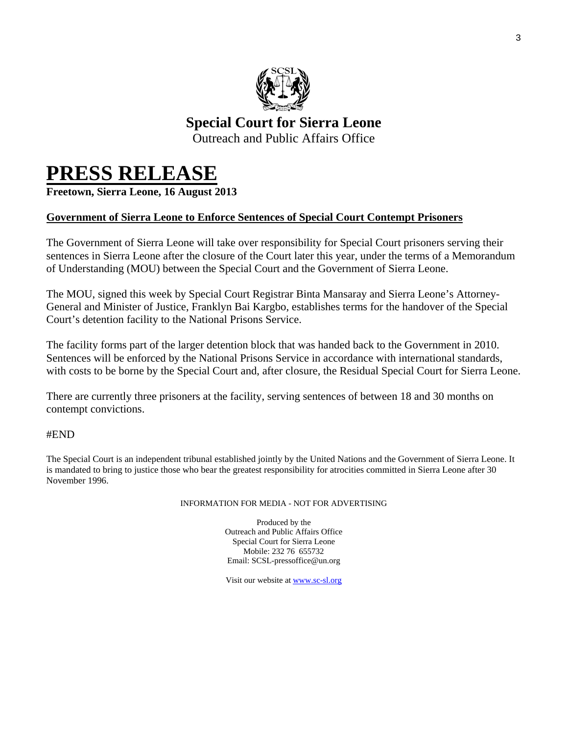

# **Special Court for Sierra Leone**

Outreach and Public Affairs Office

# **PRESS RELEASE Freetown, Sierra Leone, 16 August 2013**

# **Government of Sierra Leone to Enforce Sentences of Special Court Contempt Prisoners**

The Government of Sierra Leone will take over responsibility for Special Court prisoners serving their sentences in Sierra Leone after the closure of the Court later this year, under the terms of a Memorandum of Understanding (MOU) between the Special Court and the Government of Sierra Leone.

The MOU, signed this week by Special Court Registrar Binta Mansaray and Sierra Leone's Attorney-General and Minister of Justice, Franklyn Bai Kargbo, establishes terms for the handover of the Special Court's detention facility to the National Prisons Service.

The facility forms part of the larger detention block that was handed back to the Government in 2010. Sentences will be enforced by the National Prisons Service in accordance with international standards, with costs to be borne by the Special Court and, after closure, the Residual Special Court for Sierra Leone.

There are currently three prisoners at the facility, serving sentences of between 18 and 30 months on contempt convictions.

#END

The Special Court is an independent tribunal established jointly by the United Nations and the Government of Sierra Leone. It is mandated to bring to justice those who bear the greatest responsibility for atrocities committed in Sierra Leone after 30 November 1996.

#### INFORMATION FOR MEDIA - NOT FOR ADVERTISING

Produced by the Outreach and Public Affairs Office Special Court for Sierra Leone Mobile: 232 76 655732 Email: SCSL-pressoffice@un.org

Visit our website at www.sc-sl.org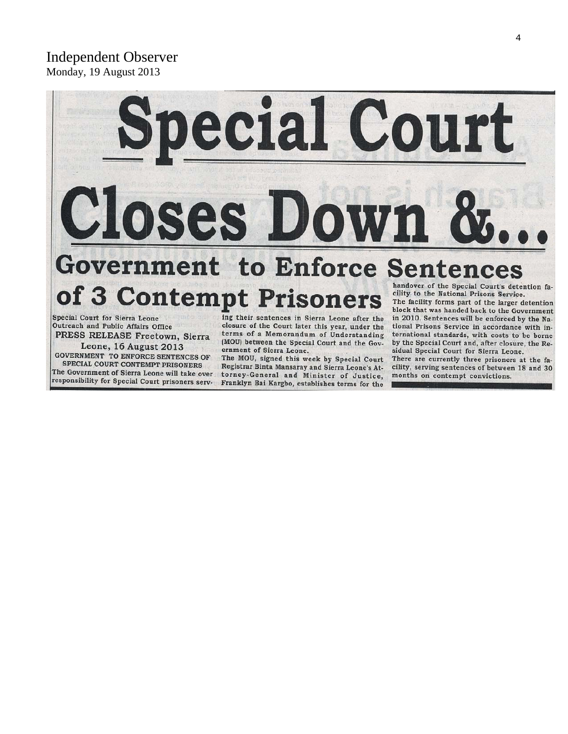# Independent Observer Monday, 19 August 2013



**Special Court for Sierra Leone** Outreach and Public Affairs Office

PRESS RELEASE Freetown, Sierra Leone, 16 August 2013 **GOVERNMENT TO ENFORCE SENTENCES OF** SPECIAL COURT CONTEMPT PRISONERS

The Government of Sierra Leone will take over responsibility for Special Court prisoners serving their sentences in Sierra Leone after the closure of the Court later this year, under the terms of a Memorandum of Understanding (MOU) between the Special Court and the Government of Sierra Leone.

The MOU, signed this week by Special Court Registrar Binta Mansaray and Sierra Leone's Attorney-General and Minister of Justice, Franklyn Bai Kargbo, establishes terms for the

The facility forms part of the larger detention block that was handed back to the Government in 2010. Sentences will be enforced by the National Prisons Service in accordance with international standards, with costs to be borne by the Special Court and, after closure, the Residual Special Court for Sierra Leone.

There are currently three prisoners at the facility, serving sentences of between 18 and 30 months on contempt convictions.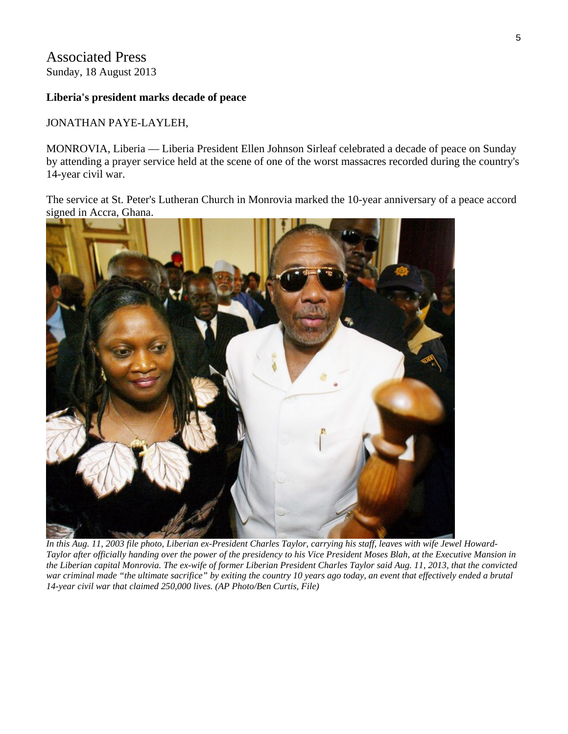# Associated Press Sunday, 18 August 2013

### **Liberia's president marks decade of peace**

### JONATHAN PAYE-LAYLEH,

MONROVIA, Liberia — Liberia President Ellen Johnson Sirleaf celebrated a decade of peace on Sunday by attending a prayer service held at the scene of one of the worst massacres recorded during the country's 14-year civil war.

The service at St. Peter's Lutheran Church in Monrovia marked the 10-year anniversary of a peace accord signed in Accra, Ghana.



*In this Aug. 11, 2003 file photo, Liberian ex-President Charles Taylor, carrying his staff, leaves with wife Jewel Howard-Taylor after officially handing over the power of the presidency to his Vice President Moses Blah, at the Executive Mansion in the Liberian capital Monrovia. The ex-wife of former Liberian President Charles Taylor said Aug. 11, 2013, that the convicted war criminal made "the ultimate sacrifice" by exiting the country 10 years ago today, an event that effectively ended a brutal 14-year civil war that claimed 250,000 lives. (AP Photo/Ben Curtis, File)*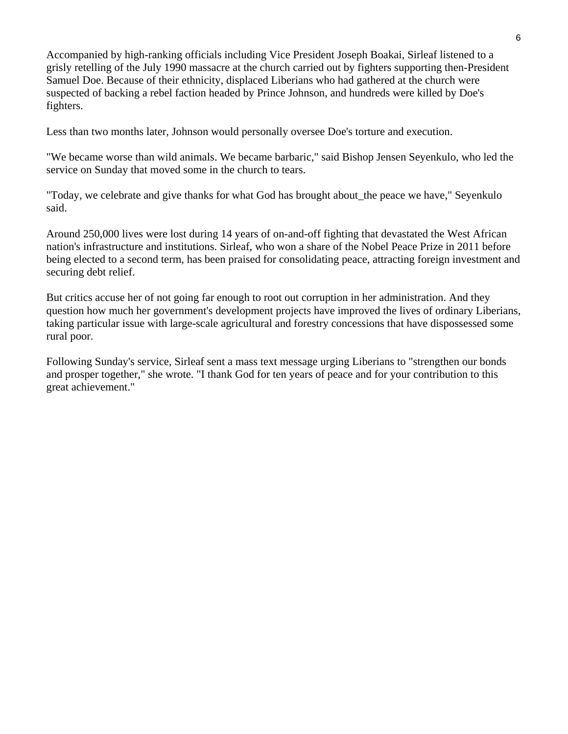Accompanied by high-ranking officials including Vice President Joseph Boakai, Sirleaf listened to a grisly retelling of the July 1990 massacre at the church carried out by fighters supporting then-President Samuel Doe. Because of their ethnicity, displaced Liberians who had gathered at the church were suspected of backing a rebel faction headed by Prince Johnson, and hundreds were killed by Doe's fighters.

Less than two months later, Johnson would personally oversee Doe's torture and execution.

"We became worse than wild animals. We became barbaric," said Bishop Jensen Seyenkulo, who led the service on Sunday that moved some in the church to tears.

"Today, we celebrate and give thanks for what God has brought about the peace we have," Seyenkulo said.

Around 250,000 lives were lost during 14 years of on-and-off fighting that devastated the West African nation's infrastructure and institutions. Sirleaf, who won a share of the Nobel Peace Prize in 2011 before being elected to a second term, has been praised for consolidating peace, attracting foreign investment and securing debt relief.

But critics accuse her of not going far enough to root out corruption in her administration. And they question how much her government's development projects have improved the lives of ordinary Liberians, taking particular issue with large-scale agricultural and forestry concessions that have dispossessed some rural poor.

Following Sunday's service, Sirleaf sent a mass text message urging Liberians to "strengthen our bonds and prosper together," she wrote. "I thank God for ten years of peace and for your contribution to this great achievement."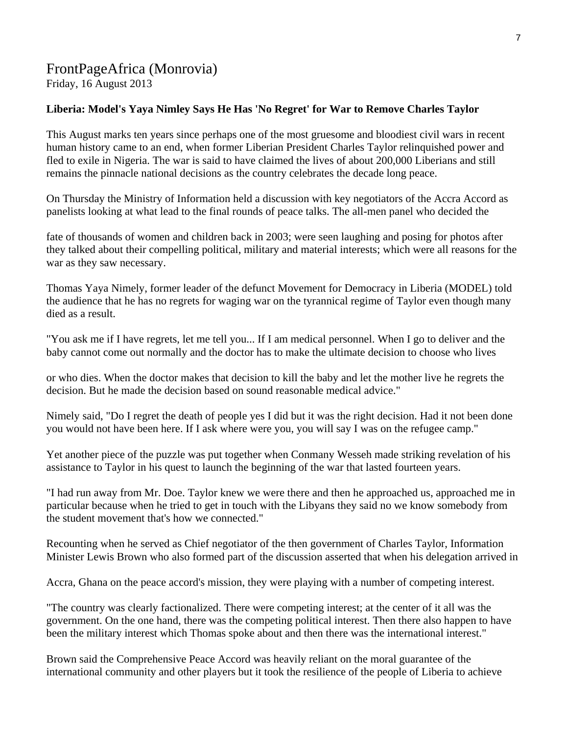# FrontPageAfrica (Monrovia)

Friday, 16 August 2013

# **Liberia: Model's Yaya Nimley Says He Has 'No Regret' for War to Remove Charles Taylor**

This August marks ten years since perhaps one of the most gruesome and bloodiest civil wars in recent human history came to an end, when former Liberian President Charles Taylor relinquished power and fled to exile in Nigeria. The war is said to have claimed the lives of about 200,000 Liberians and still remains the pinnacle national decisions as the country celebrates the decade long peace.

On Thursday the Ministry of Information held a discussion with key negotiators of the Accra Accord as panelists looking at what lead to the final rounds of peace talks. The all-men panel who decided the

fate of thousands of women and children back in 2003; were seen laughing and posing for photos after they talked about their compelling political, military and material interests; which were all reasons for the war as they saw necessary.

Thomas Yaya Nimely, former leader of the defunct Movement for Democracy in Liberia (MODEL) told the audience that he has no regrets for waging war on the tyrannical regime of Taylor even though many died as a result.

"You ask me if I have regrets, let me tell you... If I am medical personnel. When I go to deliver and the baby cannot come out normally and the doctor has to make the ultimate decision to choose who lives

or who dies. When the doctor makes that decision to kill the baby and let the mother live he regrets the decision. But he made the decision based on sound reasonable medical advice."

Nimely said, "Do I regret the death of people yes I did but it was the right decision. Had it not been done you would not have been here. If I ask where were you, you will say I was on the refugee camp."

Yet another piece of the puzzle was put together when Conmany Wesseh made striking revelation of his assistance to Taylor in his quest to launch the beginning of the war that lasted fourteen years.

"I had run away from Mr. Doe. Taylor knew we were there and then he approached us, approached me in particular because when he tried to get in touch with the Libyans they said no we know somebody from the student movement that's how we connected."

Recounting when he served as Chief negotiator of the then government of Charles Taylor, Information Minister Lewis Brown who also formed part of the discussion asserted that when his delegation arrived in

Accra, Ghana on the peace accord's mission, they were playing with a number of competing interest.

"The country was clearly factionalized. There were competing interest; at the center of it all was the government. On the one hand, there was the competing political interest. Then there also happen to have been the military interest which Thomas spoke about and then there was the international interest."

Brown said the Comprehensive Peace Accord was heavily reliant on the moral guarantee of the international community and other players but it took the resilience of the people of Liberia to achieve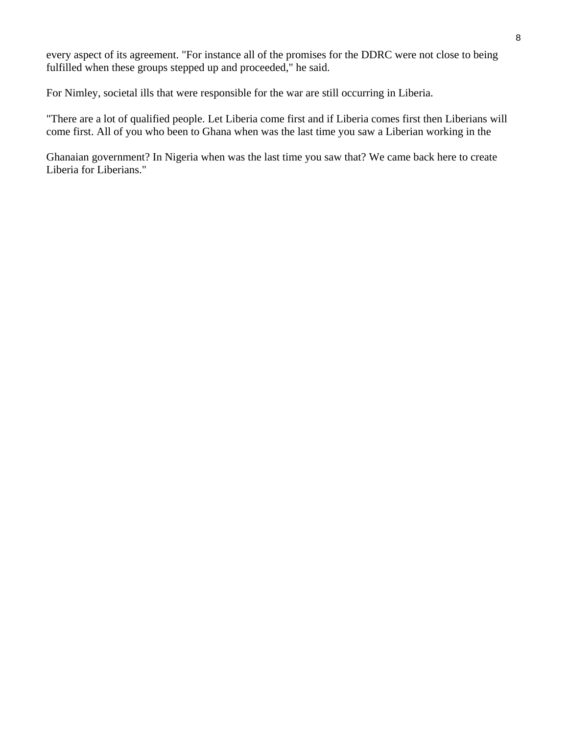every aspect of its agreement. "For instance all of the promises for the DDRC were not close to being fulfilled when these groups stepped up and proceeded," he said.

For Nimley, societal ills that were responsible for the war are still occurring in Liberia.

"There are a lot of qualified people. Let Liberia come first and if Liberia comes first then Liberians will come first. All of you who been to Ghana when was the last time you saw a Liberian working in the

Ghanaian government? In Nigeria when was the last time you saw that? We came back here to create Liberia for Liberians."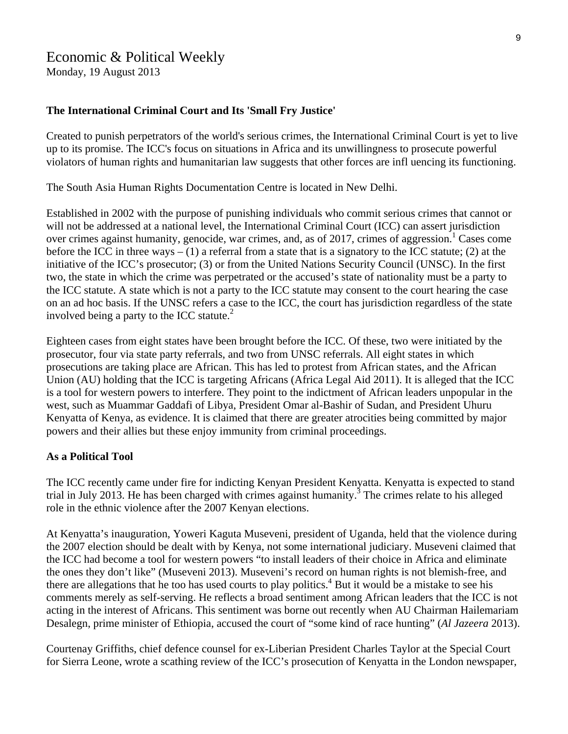# Economic & Political Weekly

Monday, 19 August 2013

### **The International Criminal Court and Its 'Small Fry Justice'**

Created to punish perpetrators of the world's serious crimes, the International Criminal Court is yet to live up to its promise. The ICC's focus on situations in Africa and its unwillingness to prosecute powerful violators of human rights and humanitarian law suggests that other forces are infl uencing its functioning.

The South Asia Human Rights Documentation Centre is located in New Delhi.

Established in 2002 with the purpose of punishing individuals who commit serious crimes that cannot or will not be addressed at a national level, the International Criminal Court (ICC) can assert jurisdiction over crimes against humanity, genocide, war crimes, and, as of 2017, crimes of aggression.<sup>1</sup> Cases come before the ICC in three ways  $- (1)$  a referral from a state that is a signatory to the ICC statute; (2) at the initiative of the ICC's prosecutor; (3) or from the United Nations Security Council (UNSC). In the first two, the state in which the crime was perpetrated or the accused's state of nationality must be a party to the ICC statute. A state which is not a party to the ICC statute may consent to the court hearing the case on an ad hoc basis. If the UNSC refers a case to the ICC, the court has jurisdiction regardless of the state involved being a party to the ICC statute. $^{2}$ 

Eighteen cases from eight states have been brought before the ICC. Of these, two were initiated by the prosecutor, four via state party referrals, and two from UNSC referrals. All eight states in which prosecutions are taking place are African. This has led to protest from African states, and the African Union (AU) holding that the ICC is targeting Africans (Africa Legal Aid 2011). It is alleged that the ICC is a tool for western powers to interfere. They point to the indictment of African leaders unpopular in the west, such as Muammar Gaddafi of Libya, President Omar al-Bashir of Sudan, and President Uhuru Kenyatta of Kenya, as evidence. It is claimed that there are greater atrocities being committed by major powers and their allies but these enjoy immunity from criminal proceedings.

#### **As a Political Tool**

The ICC recently came under fire for indicting Kenyan President Kenyatta. Kenyatta is expected to stand trial in July 2013. He has been charged with crimes against humanity.<sup>3</sup> The crimes relate to his alleged role in the ethnic violence after the 2007 Kenyan elections.

At Kenyatta's inauguration, Yoweri Kaguta Museveni, president of Uganda, held that the violence during the 2007 election should be dealt with by Kenya, not some international judiciary. Museveni claimed that the ICC had become a tool for western powers "to install leaders of their choice in Africa and eliminate the ones they don't like" (Museveni 2013). Museveni's record on human rights is not blemish-free, and there are allegations that he too has used courts to play politics.<sup>4</sup> But it would be a mistake to see his comments merely as self-serving. He reflects a broad sentiment among African leaders that the ICC is not acting in the interest of Africans. This sentiment was borne out recently when AU Chairman Hailemariam Desalegn, prime minister of Ethiopia, accused the court of "some kind of race hunting" (*Al Jazeera* 2013).

Courtenay Griffiths, chief defence counsel for ex-Liberian President Charles Taylor at the Special Court for Sierra Leone, wrote a scathing review of the ICC's prosecution of Kenyatta in the London newspaper,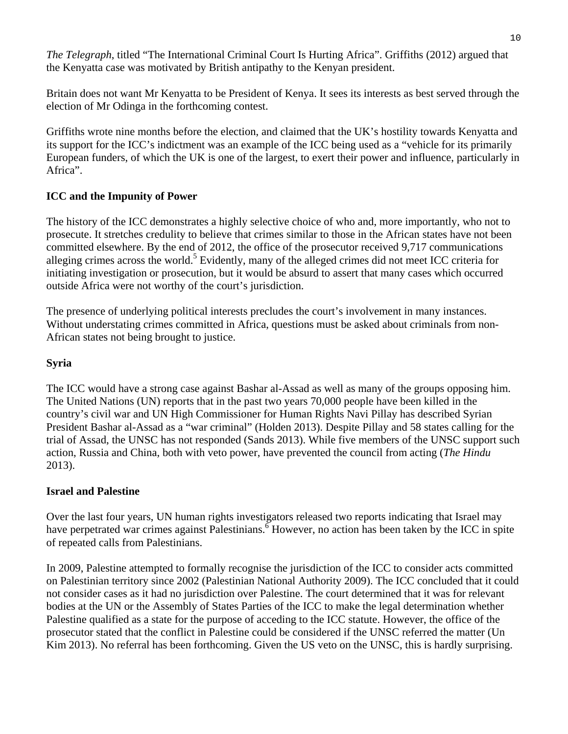*The Telegraph*, titled "The International Criminal Court Is Hurting Africa". Griffiths (2012) argued that the Kenyatta case was motivated by British antipathy to the Kenyan president.

Britain does not want Mr Kenyatta to be President of Kenya. It sees its interests as best served through the election of Mr Odinga in the forthcoming contest.

Griffiths wrote nine months before the election, and claimed that the UK's hostility towards Kenyatta and its support for the ICC's indictment was an example of the ICC being used as a "vehicle for its primarily European funders, of which the UK is one of the largest, to exert their power and influence, particularly in Africa".

# **ICC and the Impunity of Power**

The history of the ICC demonstrates a highly selective choice of who and, more importantly, who not to prosecute. It stretches credulity to believe that crimes similar to those in the African states have not been committed elsewhere. By the end of 2012, the office of the prosecutor received 9,717 communications alleging crimes across the world.<sup>5</sup> Evidently, many of the alleged crimes did not meet ICC criteria for initiating investigation or prosecution, but it would be absurd to assert that many cases which occurred outside Africa were not worthy of the court's jurisdiction.

The presence of underlying political interests precludes the court's involvement in many instances. Without understating crimes committed in Africa, questions must be asked about criminals from non-African states not being brought to justice.

# **Syria**

The ICC would have a strong case against Bashar al-Assad as well as many of the groups opposing him. The United Nations (UN) reports that in the past two years 70,000 people have been killed in the country's civil war and UN High Commissioner for Human Rights Navi Pillay has described Syrian President Bashar al-Assad as a "war criminal" (Holden 2013). Despite Pillay and 58 states calling for the trial of Assad, the UNSC has not responded (Sands 2013). While five members of the UNSC support such action, Russia and China, both with veto power, have prevented the council from acting (*The Hindu* 2013).

# **Israel and Palestine**

Over the last four years, UN human rights investigators released two reports indicating that Israel may have perpetrated war crimes against Palestinians. <sup>6</sup> However, no action has been taken by the ICC in spite of repeated calls from Palestinians.

In 2009, Palestine attempted to formally recognise the jurisdiction of the ICC to consider acts committed on Palestinian territory since 2002 (Palestinian National Authority 2009). The ICC concluded that it could not consider cases as it had no jurisdiction over Palestine. The court determined that it was for relevant bodies at the UN or the Assembly of States Parties of the ICC to make the legal determination whether Palestine qualified as a state for the purpose of acceding to the ICC statute. However, the office of the prosecutor stated that the conflict in Palestine could be considered if the UNSC referred the matter (Un Kim 2013). No referral has been forthcoming. Given the US veto on the UNSC, this is hardly surprising.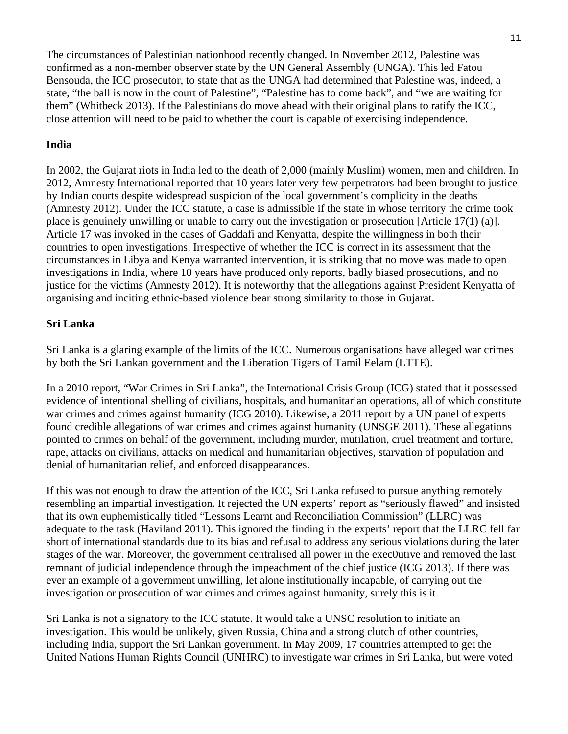The circumstances of Palestinian nationhood recently changed. In November 2012, Palestine was confirmed as a non-member observer state by the UN General Assembly (UNGA). This led Fatou Bensouda, the ICC prosecutor, to state that as the UNGA had determined that Palestine was, indeed, a state, "the ball is now in the court of Palestine", "Palestine has to come back", and "we are waiting for them" (Whitbeck 2013). If the Palestinians do move ahead with their original plans to ratify the ICC, close attention will need to be paid to whether the court is capable of exercising independence.

## **India**

In 2002, the Gujarat riots in India led to the death of 2,000 (mainly Muslim) women, men and children. In 2012, Amnesty International reported that 10 years later very few perpetrators had been brought to justice by Indian courts despite widespread suspicion of the local government's complicity in the deaths (Amnesty 2012). Under the ICC statute, a case is admissible if the state in whose territory the crime took place is genuinely unwilling or unable to carry out the investigation or prosecution [Article 17(1) (a)]. Article 17 was invoked in the cases of Gaddafi and Kenyatta, despite the willingness in both their countries to open investigations. Irrespective of whether the ICC is correct in its assessment that the circumstances in Libya and Kenya warranted intervention, it is striking that no move was made to open investigations in India, where 10 years have produced only reports, badly biased prosecutions, and no justice for the victims (Amnesty 2012). It is noteworthy that the allegations against President Kenyatta of organising and inciting ethnic-based violence bear strong similarity to those in Gujarat.

# **Sri Lanka**

Sri Lanka is a glaring example of the limits of the ICC. Numerous organisations have alleged war crimes by both the Sri Lankan government and the Liberation Tigers of Tamil Eelam (LTTE).

In a 2010 report, "War Crimes in Sri Lanka", the International Crisis Group (ICG) stated that it possessed evidence of intentional shelling of civilians, hospitals, and humanitarian operations, all of which constitute war crimes and crimes against humanity (ICG 2010). Likewise, a 2011 report by a UN panel of experts found credible allegations of war crimes and crimes against humanity (UNSGE 2011). These allegations pointed to crimes on behalf of the government, including murder, mutilation, cruel treatment and torture, rape, attacks on civilians, attacks on medical and humanitarian objectives, starvation of population and denial of humanitarian relief, and enforced disappearances.

If this was not enough to draw the attention of the ICC, Sri Lanka refused to pursue anything remotely resembling an impartial investigation. It rejected the UN experts' report as "seriously flawed" and insisted that its own euphemistically titled "Lessons Learnt and Reconciliation Commission" (LLRC) was adequate to the task (Haviland 2011). This ignored the finding in the experts' report that the LLRC fell far short of international standards due to its bias and refusal to address any serious violations during the later stages of the war. Moreover, the government centralised all power in the exec0utive and removed the last remnant of judicial independence through the impeachment of the chief justice (ICG 2013). If there was ever an example of a government unwilling, let alone institutionally incapable, of carrying out the investigation or prosecution of war crimes and crimes against humanity, surely this is it.

Sri Lanka is not a signatory to the ICC statute. It would take a UNSC resolution to initiate an investigation. This would be unlikely, given Russia, China and a strong clutch of other countries, including India, support the Sri Lankan government. In May 2009, 17 countries attempted to get the United Nations Human Rights Council (UNHRC) to investigate war crimes in Sri Lanka, but were voted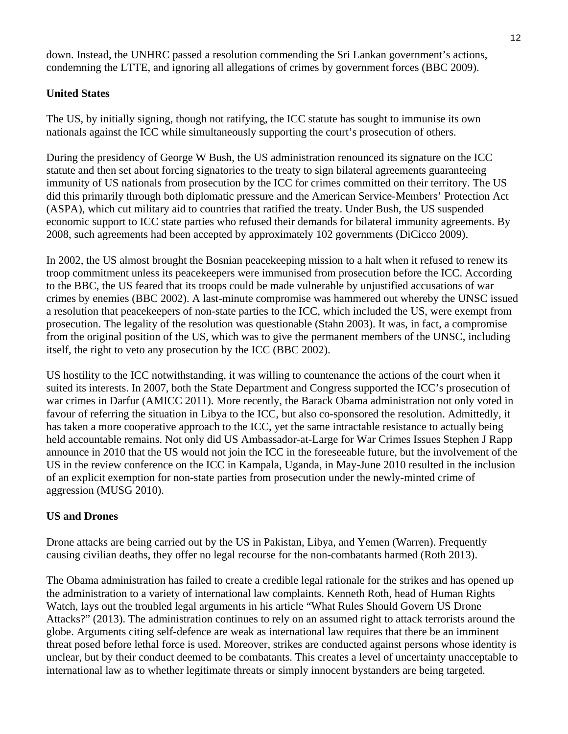down. Instead, the UNHRC passed a resolution commending the Sri Lankan government's actions, condemning the LTTE, and ignoring all allegations of crimes by government forces (BBC 2009).

# **United States**

The US, by initially signing, though not ratifying, the ICC statute has sought to immunise its own nationals against the ICC while simultaneously supporting the court's prosecution of others.

During the presidency of George W Bush, the US administration renounced its signature on the ICC statute and then set about forcing signatories to the treaty to sign bilateral agreements guaranteeing immunity of US nationals from prosecution by the ICC for crimes committed on their territory. The US did this primarily through both diplomatic pressure and the American Service-Members' Protection Act (ASPA), which cut military aid to countries that ratified the treaty. Under Bush, the US suspended economic support to ICC state parties who refused their demands for bilateral immunity agreements. By 2008, such agreements had been accepted by approximately 102 governments (DiCicco 2009).

In 2002, the US almost brought the Bosnian peacekeeping mission to a halt when it refused to renew its troop commitment unless its peacekeepers were immunised from prosecution before the ICC. According to the BBC, the US feared that its troops could be made vulnerable by unjustified accusations of war crimes by enemies (BBC 2002). A last-minute compromise was hammered out whereby the UNSC issued a resolution that peacekeepers of non-state parties to the ICC, which included the US, were exempt from prosecution. The legality of the resolution was questionable (Stahn 2003). It was, in fact, a compromise from the original position of the US, which was to give the permanent members of the UNSC, including itself, the right to veto any prosecution by the ICC (BBC 2002).

US hostility to the ICC notwithstanding, it was willing to countenance the actions of the court when it suited its interests. In 2007, both the State Department and Congress supported the ICC's prosecution of war crimes in Darfur (AMICC 2011). More recently, the Barack Obama administration not only voted in favour of referring the situation in Libya to the ICC, but also co-sponsored the resolution. Admittedly, it has taken a more cooperative approach to the ICC, yet the same intractable resistance to actually being held accountable remains. Not only did US Ambassador-at-Large for War Crimes Issues Stephen J Rapp announce in 2010 that the US would not join the ICC in the foreseeable future, but the involvement of the US in the review conference on the ICC in Kampala, Uganda, in May-June 2010 resulted in the inclusion of an explicit exemption for non-state parties from prosecution under the newly-minted crime of aggression (MUSG 2010).

## **US and Drones**

Drone attacks are being carried out by the US in Pakistan, Libya, and Yemen (Warren). Frequently causing civilian deaths, they offer no legal recourse for the non-combatants harmed (Roth 2013).

The Obama administration has failed to create a credible legal rationale for the strikes and has opened up the administration to a variety of international law complaints. Kenneth Roth, head of Human Rights Watch, lays out the troubled legal arguments in his article "What Rules Should Govern US Drone Attacks?" (2013). The administration continues to rely on an assumed right to attack terrorists around the globe. Arguments citing self-defence are weak as international law requires that there be an imminent threat posed before lethal force is used. Moreover, strikes are conducted against persons whose identity is unclear, but by their conduct deemed to be combatants. This creates a level of uncertainty unacceptable to international law as to whether legitimate threats or simply innocent bystanders are being targeted.